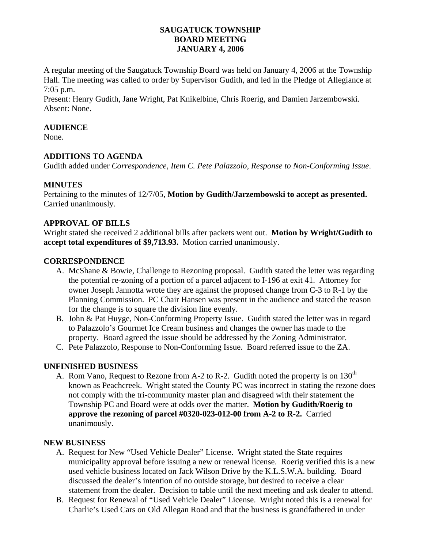## **SAUGATUCK TOWNSHIP BOARD MEETING JANUARY 4, 2006**

A regular meeting of the Saugatuck Township Board was held on January 4, 2006 at the Township Hall. The meeting was called to order by Supervisor Gudith, and led in the Pledge of Allegiance at 7:05 p.m.

Present: Henry Gudith, Jane Wright, Pat Knikelbine, Chris Roerig, and Damien Jarzembowski. Absent: None.

## **AUDIENCE**

None.

# **ADDITIONS TO AGENDA**

Gudith added under *Correspondence, Item C. Pete Palazzolo, Response to Non-Conforming Issue*.

## **MINUTES**

Pertaining to the minutes of 12/7/05, **Motion by Gudith/Jarzembowski to accept as presented.** Carried unanimously.

## **APPROVAL OF BILLS**

Wright stated she received 2 additional bills after packets went out. **Motion by Wright/Gudith to accept total expenditures of \$9,713.93.** Motion carried unanimously.

#### **CORRESPONDENCE**

- A. McShane & Bowie, Challenge to Rezoning proposal. Gudith stated the letter was regarding the potential re-zoning of a portion of a parcel adjacent to I-196 at exit 41. Attorney for owner Joseph Jannotta wrote they are against the proposed change from C-3 to R-1 by the Planning Commission. PC Chair Hansen was present in the audience and stated the reason for the change is to square the division line evenly.
- B. John & Pat Huyge, Non-Conforming Property Issue. Gudith stated the letter was in regard to Palazzolo's Gourmet Ice Cream business and changes the owner has made to the property. Board agreed the issue should be addressed by the Zoning Administrator.
- C. Pete Palazzolo, Response to Non-Conforming Issue. Board referred issue to the ZA.

## **UNFINISHED BUSINESS**

A. Rom Vano, Request to Rezone from A-2 to R-2. Gudith noted the property is on  $130<sup>th</sup>$ known as Peachcreek. Wright stated the County PC was incorrect in stating the rezone does not comply with the tri-community master plan and disagreed with their statement the Township PC and Board were at odds over the matter. **Motion by Gudith/Roerig to approve the rezoning of parcel #0320-023-012-00 from A-2 to R-2.** Carried unanimously.

#### **NEW BUSINESS**

- A. Request for New "Used Vehicle Dealer" License. Wright stated the State requires municipality approval before issuing a new or renewal license. Roerig verified this is a new used vehicle business located on Jack Wilson Drive by the K.L.S.W.A. building. Board discussed the dealer's intention of no outside storage, but desired to receive a clear statement from the dealer. Decision to table until the next meeting and ask dealer to attend.
- B. Request for Renewal of "Used Vehicle Dealer" License. Wright noted this is a renewal for Charlie's Used Cars on Old Allegan Road and that the business is grandfathered in under